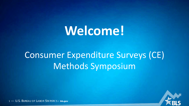# Welcome!

# **Consumer Expenditure Surveys (CE) Methods Symposium**



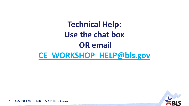# **Technical Help: Use the chat box OR email [CE\\_WORKSHOP\\_HELP@bls.gov](mailto:CE_WORKSHOP_HELP@bls.gov)**

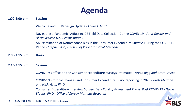#### **Agenda**

**1:00-2:00 p.m. Session I**

Welcome and CE Redesign Update ‐ *Laura Erhard*

Navigating a Pandemic: Adjusting CE Field Data Collection During COVID-19 ‐ *John Gloster and Alicia Walker, U.S. Census Bureau* An Examination of Nonresponse Bias in the Consumer Expenditure Surveys During the COVID-19 Period ‐ *Stephen Ash, Division of Price Statistical Methods*

**2:00-2:15 p.m. Break**

**2:15-3:15 p.m. Session II**

COVID-19's Effect on the Consumer Expenditure Surveys' Estimates ‐ *Bryan Rigg and Brett Creech*

COVID-19 Protocol Changes and Consumer Expenditure Diary Reporting in 2020 ‐ *Brett McBride and Nikki Graf, Ph.D.*

Consumer Expenditure Interview Survey: Data Quality Assessment Pre vs. Post COVID-19 ‐ *David Biagas, Ph.D., Office of Survey Methods Research*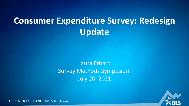# **Consumer Expenditure Survey: Redesign Update**

#### Laura Erhard Survey Methods Symposium July 20, 2021

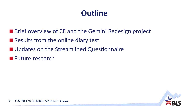# **Outline**

- **Brief overview of CE and the Gemini Redesign project**
- **Results from the online diary test**
- **Updates on the Streamlined Questionnaire**
- **Future research**

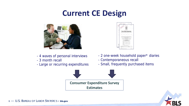#### **Current CE Design**



- 4 waves of personal interviews
- 3 month recall
- Large or recurring expenditures



- 2 one-week household paper\* diaries
- Contemporaneous recall
- Small, frequently purchased items



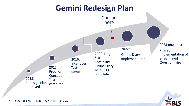#### **Gemini Redesign Plan**



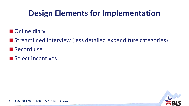# **Design Elements for Implementation**

- **Online diary**
- Streamlined interview (less detailed expenditure categories)
- **Record use**
- Select incentives

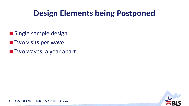#### **Design Elements being Postponed**

- **Single sample design**
- **Two visits per wave**
- **Two waves, a year apart**

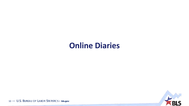#### **Online Diaries**

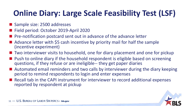# **Online Diary: Large Scale Feasibility Test (LSF)**

- Sample size: 2500 addresses
- Field period: October 2019-April 2020
- **Pre-notification postcard sent out in advance of the advance letter**
- Advance letter with \$5 cash incentive by priority mail for half the sample (incentive experiment)
- Two interviewer visits to household, one for diary placement and one for pickup
- **Push to online diary if the household respondent is eligible based on screening** questions, if they refuse or are ineligible-- they get paper diaries
- Automated email reminders and two calls by interviewer during the diary keeping period to remind respondents to login and enter expenses
- Recall tab in the CAPI instrument for interviewer to record additional expenses reported by respondent at pickup

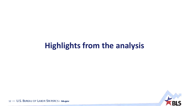#### **Highlights from the analysis**

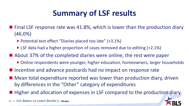# **Summary of LSF results**

- $\blacksquare$  Final LSF response rate was 41.8%, which is lower than the production diary (46.0%)
	- ▶ Potential test effect "Diaries placed too late" (+3.1%)
	- ▶ LSF data had a higher proportion of cases removed due to editing (+2.1%)
- About 37% of the completed diaries were online, the rest were paper
	- ▶ Online respondents were younger, higher education, homeowners, larger households
- Incentive and advance postcards had no impact on response rate
- Mean total expenditure reported was lower than production diary, driven by differences in the "Other" category of expenditures
- **Higher and allocation of expenses in LSF compared to the production diary.**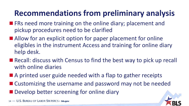# **Recommendations from preliminary analysis**

- **FRs need more training on the online diary; placement and** pickup procedures need to be clarified
- Allow for an explicit option for paper placement for online eligibles in the instrument Access and training for online diary help desk.
- Recall: discuss with Census to find the best way to pick up recall with online diaries
- A printed user guide needed with a flap to gather receipts
- Customizing the username and password may not be needed **Develop better screening for online diary**

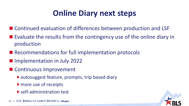# **Online Diary next steps**

- Continued evaluation of differences between production and LSF
- $\blacksquare$  Evaluate the results from the contingency use of the online diary in production
- Recommendations for full implementation protocols
- **Implementation in July 2022**
- Continuous improvement
	- autosuggest feature, prompts, trip based diary
	- more use of receipts
	- **Self-administration test**

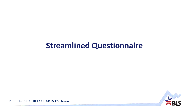#### **Streamlined Questionnaire**

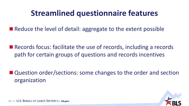#### **Streamlined questionnaire features**

■ Reduce the level of detail: aggregate to the extent possible

■ Records focus: facilitate the use of records, including a records path for certain groups of questions and records incentives

■ Question order/sections: some changes to the order and section organization

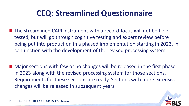#### **CEQ: Streamlined Questionnaire**

- The streamlined CAPI instrument with a record-focus will not be field tested, but will go through cognitive testing and expert review before being put into production in a phased implementation starting in 2023, in conjunction with the development of the revised processing system.
- Major sections with few or no changes will be released in the first phase in 2023 along with the revised processing system for those sections. Requirements for these sections are ready. Sections with more extensive changes will be released in subsequent years.

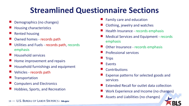#### **Streamlined Questionnaire Sections**

- Demographics (no changes)
- Housing characteristics
- Rented housing
- Owned homes records path
- Utilities and Fuels records path, records emphasis
- Household services
- Home improvement and repairs
- Household furnishings and equipment
- Vehicles records path
- **Transportation**
- Computers and Electronics
- Hobbies, Sports, and Recreation
- Family care and education
- Clothing, jewelry and watches
- Health Insurance records emphasis
- Medical Services and Equipment records emphasis
- Other Insurance records emphasis
- Professional services
- **Trips**
- Events
- **Contributions**
- Expense patterns for selected goods and services
- Extended Recall for outlet data collection
- Work Experience and Income (no changes)
- Assets and Liabilities (no changes)

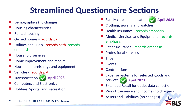# **Streamlined Questionnaire Sections**

- Demographics (no changes)
- Housing characteristics
- Rented housing
- Owned homes records path
- Utilities and Fuels records path, records emphasis
- Household services
- Home improvement and repairs
- Household furnishings and equipment
- Vehicles records path
- **Transportation**
- Computers and Electronics
- Hobbies, Sports, and Recreation
- Family care and education (
	- **April 2023**
- Clothing, jewelry and watches
- Health Insurance records emphasis
- Medical Services and Equipment records emphasis
- Other Insurance records emphasis
- Professional services
- **Trips**
- Events
- **Contributions**
- Expense patterns for selected goods and services **April 2023 April 2023**
	- Extended Recall for outlet data collection
	- Work Experience and Income (no changes)
	- Assets and Liabilities (no changes)

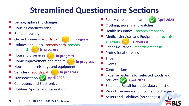# **Streamlined Questionnaire Sections**

- Demographics (no changes)
- Housing characteristics
- Rented housing
- Owned homes records path **… In progress**
- Utilities and Fuels records path, records emphasis **… In progress**
- Household services **… In progress**
- Home improvement and repairs **… In progress**
- Household furnishings and equipment
- Vehicles records path **… In progress**
- Transportation
- Computers and Electronics
- Hobbies, Sports, and Recreation

Family care and education (



- Clothing, jewelry and watches
- Health Insurance records emphasis
- Medical Services and Equipment records emphasis **… In progress**
- Other Insurance records emphasis
- Professional services
- **Trips**
- Events
- **Contributions**
- Expense patterns for selected goods and services **April 2023 April 2023**
	- Extended Recall for outlet data collection
	- Work Experience and Income (no changes)
	- Assets and Liabilities (no changes)

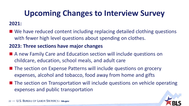# **Upcoming Changes to Interview Survey**

#### **2021:**

■ We have reduced content including replacing detailed clothing questions with fewer high level questions about spending on clothes.

#### **2023: Three sections have major changes**

- A new Family Care and Education section will include questions on childcare, education, school meals, and adult care
- The section on Expense Patterns will include questions on grocery expenses, alcohol and tobacco, food away from home and gifts
- The section on Transportation will include questions on vehicle operating expenses and public transportation

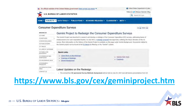

#### https://www.bls.gov/cex/geminiproject.htm